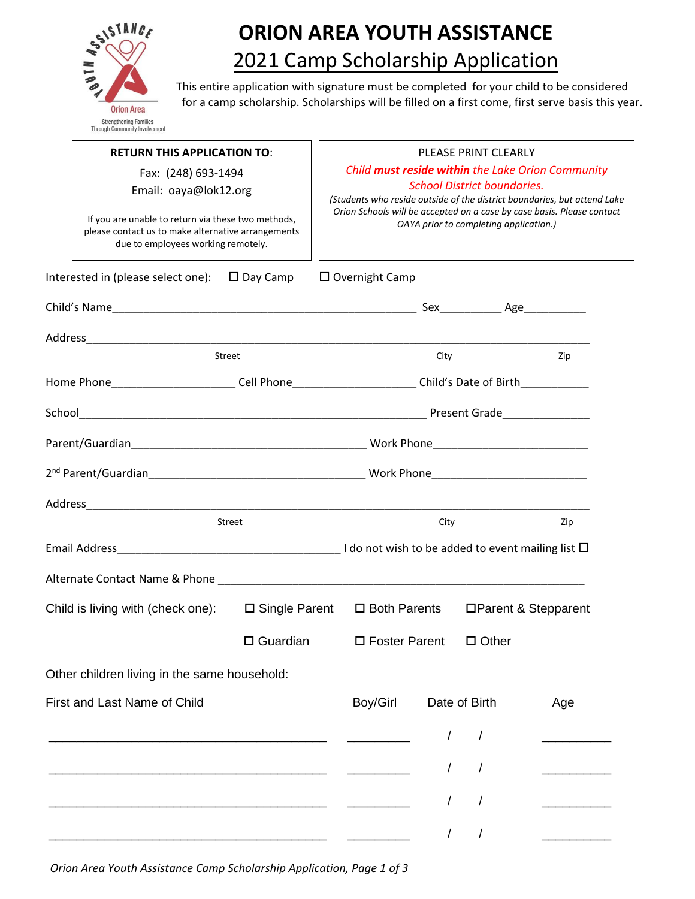

## **ORION AREA YOUTH ASSISTANCE**  2021 Camp Scholarship Application

This entire application with signature must be completed for your child to be considered for a camp scholarship. Scholarships will be filled on a first come, first serve basis this year.

|                                     | <b>RETURN THIS APPLICATION TO:</b>                                                                                                             |                                              | PLEASE PRINT CLEARLY                                                                                             |                                                                                                                                                                     |               |              |                       |  |
|-------------------------------------|------------------------------------------------------------------------------------------------------------------------------------------------|----------------------------------------------|------------------------------------------------------------------------------------------------------------------|---------------------------------------------------------------------------------------------------------------------------------------------------------------------|---------------|--------------|-----------------------|--|
|                                     |                                                                                                                                                | Fax: (248) 693-1494<br>Email: oaya@lok12.org |                                                                                                                  | Child must reside within the Lake Orion Community<br><b>School District boundaries.</b><br>(Students who reside outside of the district boundaries, but attend Lake |               |              |                       |  |
|                                     | If you are unable to return via these two methods,<br>please contact us to make alternative arrangements<br>due to employees working remotely. |                                              | Orion Schools will be accepted on a case by case basis. Please contact<br>OAYA prior to completing application.) |                                                                                                                                                                     |               |              |                       |  |
|                                     | Interested in (please select one): $\Box$ Day Camp                                                                                             |                                              |                                                                                                                  | $\square$ Overnight Camp                                                                                                                                            |               |              |                       |  |
|                                     |                                                                                                                                                |                                              |                                                                                                                  |                                                                                                                                                                     |               |              |                       |  |
|                                     |                                                                                                                                                |                                              |                                                                                                                  |                                                                                                                                                                     |               |              |                       |  |
|                                     | Street                                                                                                                                         |                                              |                                                                                                                  |                                                                                                                                                                     | City          |              | Zip                   |  |
|                                     | Home Phone___________________________Cell Phone___________________________Child's Date of Birth______________                                  |                                              |                                                                                                                  |                                                                                                                                                                     |               |              |                       |  |
|                                     |                                                                                                                                                |                                              |                                                                                                                  |                                                                                                                                                                     |               |              |                       |  |
|                                     |                                                                                                                                                |                                              |                                                                                                                  |                                                                                                                                                                     |               |              |                       |  |
|                                     |                                                                                                                                                |                                              |                                                                                                                  |                                                                                                                                                                     |               |              |                       |  |
|                                     |                                                                                                                                                |                                              |                                                                                                                  |                                                                                                                                                                     |               |              |                       |  |
|                                     | Street                                                                                                                                         |                                              |                                                                                                                  |                                                                                                                                                                     | City          |              | Zip                   |  |
|                                     |                                                                                                                                                |                                              |                                                                                                                  |                                                                                                                                                                     |               |              |                       |  |
|                                     |                                                                                                                                                |                                              |                                                                                                                  |                                                                                                                                                                     |               |              |                       |  |
|                                     | Child is living with (check one):                                                                                                              | $\square$ Single Parent                      |                                                                                                                  | $\square$ Both Parents                                                                                                                                              |               |              | □ Parent & Stepparent |  |
|                                     |                                                                                                                                                | $\Box$ Guardian                              |                                                                                                                  | $\Box$ Foster Parent                                                                                                                                                |               | $\Box$ Other |                       |  |
|                                     | Other children living in the same household:                                                                                                   |                                              |                                                                                                                  |                                                                                                                                                                     |               |              |                       |  |
| <b>First and Last Name of Child</b> |                                                                                                                                                |                                              | Boy/Girl                                                                                                         |                                                                                                                                                                     | Date of Birth | Age          |                       |  |
|                                     |                                                                                                                                                |                                              |                                                                                                                  |                                                                                                                                                                     |               |              |                       |  |
|                                     |                                                                                                                                                |                                              |                                                                                                                  |                                                                                                                                                                     |               |              |                       |  |
|                                     |                                                                                                                                                |                                              |                                                                                                                  |                                                                                                                                                                     |               |              |                       |  |
|                                     |                                                                                                                                                |                                              |                                                                                                                  |                                                                                                                                                                     |               |              |                       |  |
|                                     |                                                                                                                                                |                                              |                                                                                                                  |                                                                                                                                                                     |               | $\prime$     |                       |  |
|                                     |                                                                                                                                                |                                              |                                                                                                                  |                                                                                                                                                                     |               |              |                       |  |

*Orion Area Youth Assistance Camp Scholarship Application, Page 1 of 3*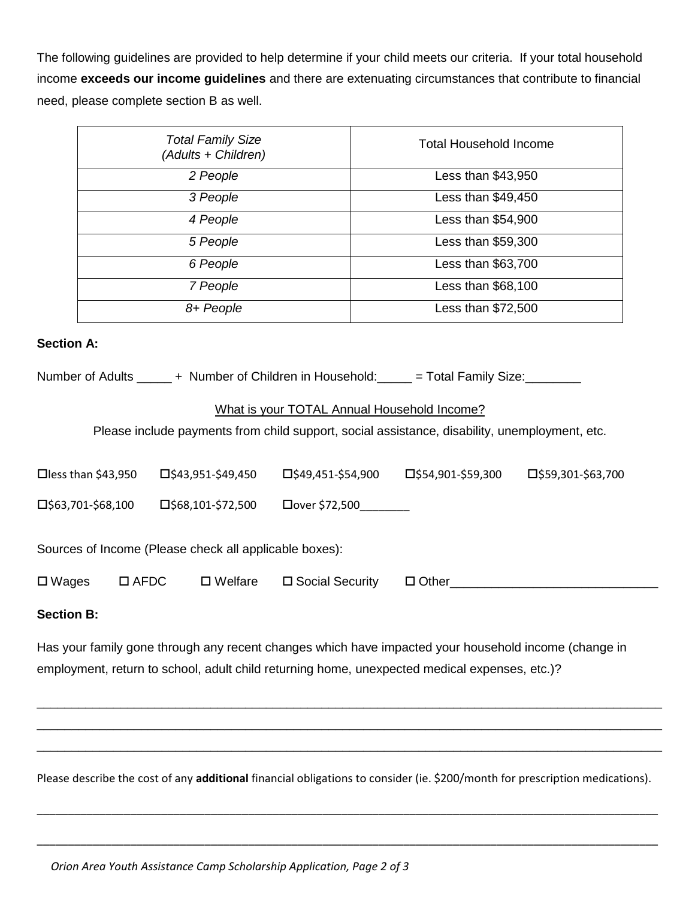The following guidelines are provided to help determine if your child meets our criteria. If your total household income **exceeds our income guidelines** and there are extenuating circumstances that contribute to financial need, please complete section B as well.

| <b>Total Family Size</b><br>(Adults + Children) | Total Household Income |
|-------------------------------------------------|------------------------|
| 2 People                                        | Less than \$43,950     |
| 3 People                                        | Less than \$49,450     |
| 4 People                                        | Less than \$54,900     |
| 5 People                                        | Less than \$59,300     |
| 6 People                                        | Less than \$63,700     |
| 7 People                                        | Less than \$68,100     |
| 8+ People                                       | Less than \$72,500     |

## **Section A:**

| Number of Adults |  | + Number of Children in Household: |  | $=$ Total Family Size: |  |
|------------------|--|------------------------------------|--|------------------------|--|
|------------------|--|------------------------------------|--|------------------------|--|

## What is your TOTAL Annual Household Income?

Please include payments from child support, social assistance, disability, unemployment, etc.

| $\Box$ less than \$43,950                              | $\square$ \$43,951-\$49,450 | $\square$ \$49,451-\$54,900   | $\square$ \$54,901-\$59,300 | $\Box$ \$59,301-\$63,700 |  |  |  |  |
|--------------------------------------------------------|-----------------------------|-------------------------------|-----------------------------|--------------------------|--|--|--|--|
| $\Box$ \$63,701-\$68,100                               | $\square$ \$68,101-\$72,500 | $\Box$ over \$72,500_________ |                             |                          |  |  |  |  |
| Sources of Income (Please check all applicable boxes): |                             |                               |                             |                          |  |  |  |  |
| $\Box$ AFDC<br>$\square$ Wages                         | $\square$ Welfare           | □ Social Security             | $\Box$ Other                |                          |  |  |  |  |
|                                                        |                             |                               |                             |                          |  |  |  |  |

## **Section B:**

Has your family gone through any recent changes which have impacted your household income (change in employment, return to school, adult child returning home, unexpected medical expenses, etc.)?

Please describe the cost of any **additional** financial obligations to consider (ie. \$200/month for prescription medications).

\_\_\_\_\_\_\_\_\_\_\_\_\_\_\_\_\_\_\_\_\_\_\_\_\_\_\_\_\_\_\_\_\_\_\_\_\_\_\_\_\_\_\_\_\_\_\_\_\_\_\_\_\_\_\_\_\_\_\_\_\_\_\_\_\_\_\_\_\_\_\_\_\_\_\_\_\_\_\_\_\_\_\_\_\_\_\_\_\_\_\_\_\_\_\_\_\_\_\_\_

\_\_\_\_\_\_\_\_\_\_\_\_\_\_\_\_\_\_\_\_\_\_\_\_\_\_\_\_\_\_\_\_\_\_\_\_\_\_\_\_\_\_\_\_\_\_\_\_\_\_\_\_\_\_\_\_\_\_\_\_\_\_\_\_\_\_\_\_\_\_\_\_\_\_\_\_\_\_\_\_\_\_\_\_\_\_\_\_\_\_\_\_\_\_\_\_\_\_\_\_

\_\_\_\_\_\_\_\_\_\_\_\_\_\_\_\_\_\_\_\_\_\_\_\_\_\_\_\_\_\_\_\_\_\_\_\_\_\_\_\_\_\_\_\_\_\_\_\_\_\_\_\_\_\_\_\_\_\_\_\_\_\_\_\_\_\_\_\_\_\_\_\_\_\_\_\_\_\_\_\_\_\_\_\_\_\_\_\_\_\_ \_\_\_\_\_\_\_\_\_\_\_\_\_\_\_\_\_\_\_\_\_\_\_\_\_\_\_\_\_\_\_\_\_\_\_\_\_\_\_\_\_\_\_\_\_\_\_\_\_\_\_\_\_\_\_\_\_\_\_\_\_\_\_\_\_\_\_\_\_\_\_\_\_\_\_\_\_\_\_\_\_\_\_\_\_\_\_\_\_\_ \_\_\_\_\_\_\_\_\_\_\_\_\_\_\_\_\_\_\_\_\_\_\_\_\_\_\_\_\_\_\_\_\_\_\_\_\_\_\_\_\_\_\_\_\_\_\_\_\_\_\_\_\_\_\_\_\_\_\_\_\_\_\_\_\_\_\_\_\_\_\_\_\_\_\_\_\_\_\_\_\_\_\_\_\_\_\_\_\_\_